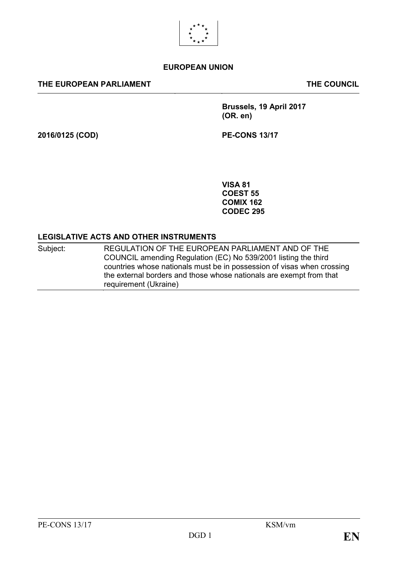

# **EUROPEAN UNION**

### **THE EUROPEAN PARLIAMENT THE COUNCIL**

**Brussels, 19 April 2017 (OR. en)**

**2016/0125 (COD) PE-CONS 13/17**

**VISA 81 COEST 55 COMIX 162 CODEC 295**

#### **LEGISLATIVE ACTS AND OTHER INSTRUMENTS**

| Subject: | REGULATION OF THE EUROPEAN PARLIAMENT AND OF THE                       |
|----------|------------------------------------------------------------------------|
|          | COUNCIL amending Regulation (EC) No 539/2001 listing the third         |
|          | countries whose nationals must be in possession of visas when crossing |
|          | the external borders and those whose nationals are exempt from that    |
|          | requirement (Ukraine)                                                  |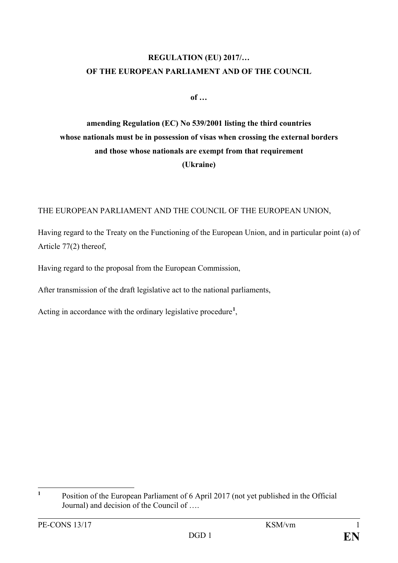# **REGULATION (EU) 2017/… OF THE EUROPEAN PARLIAMENT AND OF THE COUNCIL**

**of …**

# **amending Regulation (EC) No 539/2001 listing the third countries whose nationals must be in possession of visas when crossing the external borders and those whose nationals are exempt from that requirement (Ukraine)**

THE EUROPEAN PARLIAMENT AND THE COUNCIL OF THE EUROPEAN UNION,

Having regard to the Treaty on the Functioning of the European Union, and in particular point (a) of Article 77(2) thereof,

Having regard to the proposal from the European Commission,

After transmission of the draft legislative act to the national parliaments,

Acting in accordance with the ordinary legislative procedure**[1](#page-1-0)** ,

<span id="page-1-0"></span><sup>&</sup>lt;sup>1</sup> Position of the European Parliament of 6 April 2017 (not yet published in the Official Journal) and decision of the Council of ….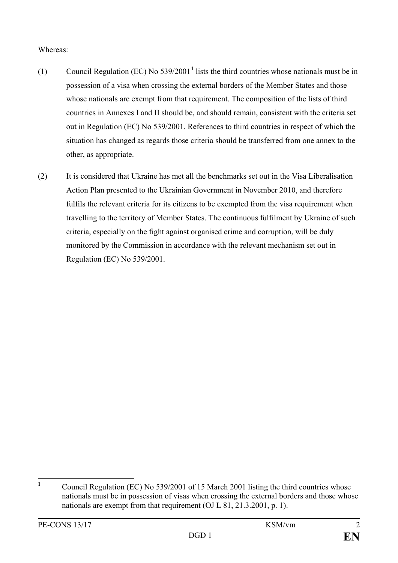# Whereas:

- (1) Council Regulation (EC) No 539/2001**[1](#page-2-0)** lists the third countries whose nationals must be in possession of a visa when crossing the external borders of the Member States and those whose nationals are exempt from that requirement. The composition of the lists of third countries in Annexes I and II should be, and should remain, consistent with the criteria set out in Regulation (EC) No 539/2001. References to third countries in respect of which the situation has changed as regards those criteria should be transferred from one annex to the other, as appropriate.
- (2) It is considered that Ukraine has met all the benchmarks set out in the Visa Liberalisation Action Plan presented to the Ukrainian Government in November 2010, and therefore fulfils the relevant criteria for its citizens to be exempted from the visa requirement when travelling to the territory of Member States. The continuous fulfilment by Ukraine of such criteria, especially on the fight against organised crime and corruption, will be duly monitored by the Commission in accordance with the relevant mechanism set out in Regulation (EC) No 539/2001.

<span id="page-2-0"></span><sup>&</sup>lt;sup>1</sup> Council Regulation (EC) No 539/2001 of 15 March 2001 listing the third countries whose nationals must be in possession of visas when crossing the external borders and those whose nationals are exempt from that requirement (OJ L 81, 21.3.2001, p. 1).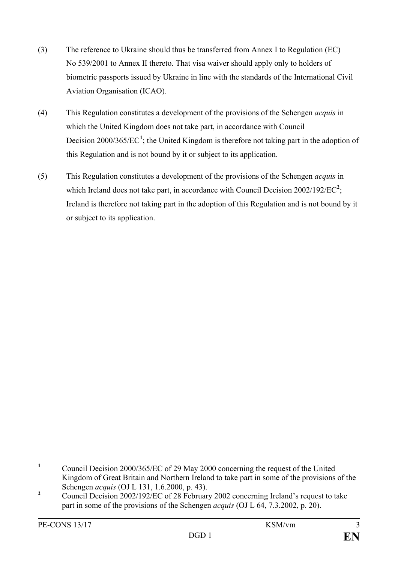- (3) The reference to Ukraine should thus be transferred from Annex I to Regulation (EC) No 539/2001 to Annex II thereto. That visa waiver should apply only to holders of biometric passports issued by Ukraine in line with the standards of the International Civil Aviation Organisation (ICAO).
- (4) This Regulation constitutes a development of the provisions of the Schengen *acquis* in which the United Kingdom does not take part, in accordance with Council Decision 2000/365/EC<sup>[1](#page-3-0)</sup>; the United Kingdom is therefore not taking part in the adoption of this Regulation and is not bound by it or subject to its application.
- (5) This Regulation constitutes a development of the provisions of the Schengen *acquis* in which Ireland does not take part, in accordance with Council Decision  $2002/192/EC^2$  $2002/192/EC^2$ ; Ireland is therefore not taking part in the adoption of this Regulation and is not bound by it or subject to its application.

<span id="page-3-0"></span>**<sup>1</sup>** Council Decision 2000/365/EC of 29 May 2000 concerning the request of the United Kingdom of Great Britain and Northern Ireland to take part in some of the provisions of the Schengen *acquis* (OJ L 131, 1.6.2000, p. 43).

<span id="page-3-1"></span><sup>&</sup>lt;sup>2</sup> Council Decision 2002/192/EC of 28 February 2002 concerning Ireland's request to take part in some of the provisions of the Schengen *acquis* (OJ L 64, 7.3.2002, p. 20).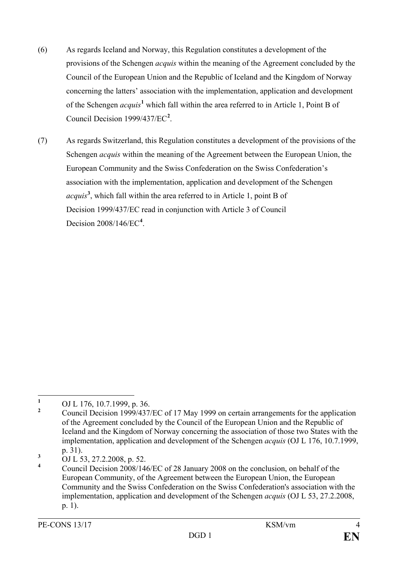- (6) As regards Iceland and Norway, this Regulation constitutes a development of the provisions of the Schengen *acquis* within the meaning of the Agreement concluded by the Council of the European Union and the Republic of Iceland and the Kingdom of Norway concerning the latters' association with the implementation, application and development of the Schengen *acquis***[1](#page-4-0)** which fall within the area referred to in Article 1, Point B of Council Decision 1999/437/EC<sup>[2](#page-4-1)</sup>.
- (7) As regards Switzerland, this Regulation constitutes a development of the provisions of the Schengen *acquis* within the meaning of the Agreement between the European Union, the European Community and the Swiss Confederation on the Swiss Confederation's association with the implementation, application and development of the Schengen *acquis***[3](#page-4-2)** , which fall within the area referred to in Article 1, point B of Decision 1999/437/EC read in conjunction with Article 3 of Council Decision 2008/146/EC**[4](#page-4-3)** .

<span id="page-4-0"></span><sup>&</sup>lt;sup>1</sup> OJ L 176, 10.7.1999, p. 36.

<span id="page-4-1"></span>**<sup>2</sup>** Council Decision 1999/437/EC of 17 May 1999 on certain arrangements for the application of the Agreement concluded by the Council of the European Union and the Republic of Iceland and the Kingdom of Norway concerning the association of those two States with the implementation, application and development of the Schengen *acquis* (OJ L 176, 10.7.1999, p. 31).

<span id="page-4-2"></span> $\frac{3}{\text{OJ L}}$   $\frac{53}{3}$ , 27.2.2008, p. 52.

<span id="page-4-3"></span>**<sup>4</sup>** Council Decision 2008/146/EC of 28 January 2008 on the conclusion, on behalf of the European Community, of the Agreement between the European Union, the European Community and the Swiss Confederation on the Swiss Confederation's association with the implementation, application and development of the Schengen *acquis* (OJ L 53, 27.2.2008, p. 1).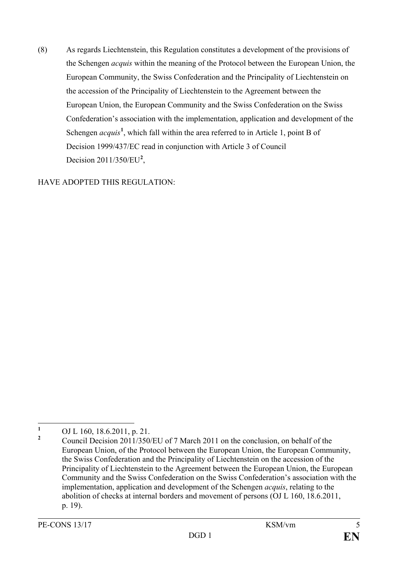(8) As regards Liechtenstein, this Regulation constitutes a development of the provisions of the Schengen *acquis* within the meaning of the Protocol between the European Union, the European Community, the Swiss Confederation and the Principality of Liechtenstein on the accession of the Principality of Liechtenstein to the Agreement between the European Union, the European Community and the Swiss Confederation on the Swiss Confederation's association with the implementation, application and development of the Schengen *acquis*<sup>[1](#page-5-0)</sup>, which fall within the area referred to in Article 1, point B of Decision 1999/437/EC read in conjunction with Article 3 of Council Decision [2](#page-5-1)011/350/EU<sup>2</sup>,

HAVE ADOPTED THIS REGULATION:

<span id="page-5-0"></span><sup>&</sup>lt;sup>1</sup> OJ L 160, 18.6.2011, p. 21.

<span id="page-5-1"></span>**<sup>2</sup>** Council Decision 2011/350/EU of 7 March 2011 on the conclusion, on behalf of the European Union, of the Protocol between the European Union, the European Community, the Swiss Confederation and the Principality of Liechtenstein on the accession of the Principality of Liechtenstein to the Agreement between the European Union, the European Community and the Swiss Confederation on the Swiss Confederation's association with the implementation, application and development of the Schengen *acquis*, relating to the abolition of checks at internal borders and movement of persons (OJ L 160, 18.6.2011, p. 19).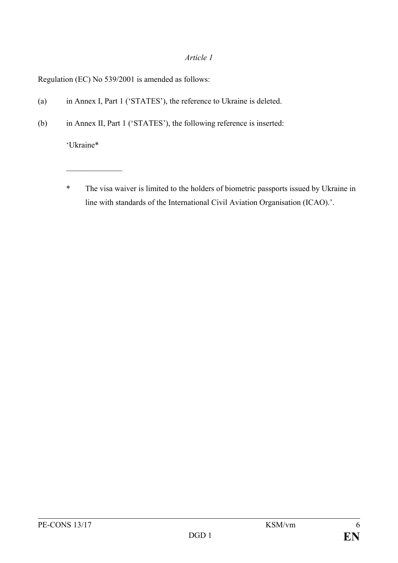## *Article 1*

Regulation (EC) No 539/2001 is amended as follows:

- (a) in Annex I, Part 1 ('STATES'), the reference to Ukraine is deleted.
- (b) in Annex II, Part 1 ('STATES'), the following reference is inserted:

'Ukraine\*

 $\mathcal{L}_\text{max}$  . The set of the set of the set of the set of the set of the set of the set of the set of the set of the set of the set of the set of the set of the set of the set of the set of the set of the set of the set

\* The visa waiver is limited to the holders of biometric passports issued by Ukraine in line with standards of the International Civil Aviation Organisation (ICAO).'.